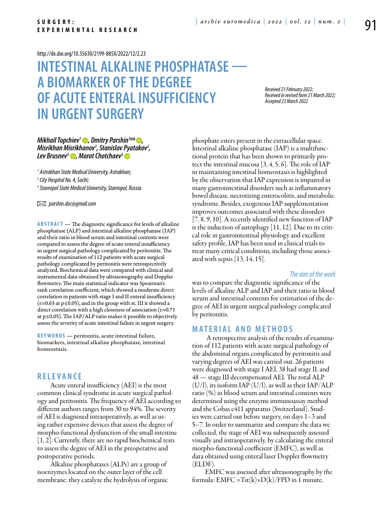#### <http://dx.doi.org/10.35630/2199-885X/2022/12/2.23>

# **Intestinal alkaline phosphatase a biomarker of the degree of acute enteralinsufficiency in urgent surgery**

*Received 21 February 2022; Received in revised form 21 March 2022; Accepted 23 March 2022*

# *[Mikhail Topchiev](http://orcid.org/0000-0002-9162-7831)<sup>1</sup> D, [Dmitry Parshin](http://orcid.org/0000-0002-1050-7716)<sup>1</sup> △D, Misrikhan Misrikhanov1 , Stanislav Pyatakov2 , Lev Brusnev<sup>3</sup> <b>D*, [Marat Chotchaev](http://orcid.org/0000-0002-6546-8646)<sup>3</sup> **D**

*1 Astrakhan State Medical University, Astrakhan;*

*2 City Hospital No. 4, Sochi;*

*3 Stavropol State Medical University, Stavropol, Russia*

 *parshin.doc@gmail.com*

**Abstract** — The diagnostic significance for levels of alkaline phosphatase (ALP) and intestinal alkaline phosphatase (IAP) and their ratio in blood serum and intestinal contents were compared to assess the degree of acute enteral insufficiency in urgent surgical pathology complicated by peritonitis. The results of examination of 112 patients with acute surgical pathology complicated by peritonitis were retrospectively analyzed. Biochemical data were compared with clinical and instrumental data obtained by ultrasonography and Doppler flowmetry. The main statistical indicator was Spearman's rank correlation coefficient, which showed a moderate direct correlation in patients with stage I and II enteral insufficiency (r=0.63 at p≤0.05), and in the group with st. III it showed a direct correlation with a high closeness of association (r=0.71) at p≤0.05). The IAP/ALP ratio makes it possible to objectively assess the severity of acute intestinal failure in urgent surgery.

**K eywords** — peritonitis, acute intestinal failure, biomarkers, intestinal alkaline phosphatase, intestinal homeostasis.

# **R ele va n ce**

Acute enteral insufficiency (AEI) is the most common clinical syndrome in acute surgical pathology and peritonitis. The frequency of AEI according to different authors ranges from 30 to 94%. The severity of AEI is diagnosed intraoperatively, as well as using rather expensive devices that assess the degree of morpho-functional dysfunction of the small intestine [1, 2]. Currently, there are no rapid biochemical tests to assess the degree of AEI in the preoperative and postoperative periods.

Alkaline phosphatases (ALPs) are a group of isoenzymes located on the outer layer of the cell membrane; they catalyze the hydrolysis of organic phosphate esters present in the extracellular space. Intestinal alkaline phosphatase (IAP) is a multifunctional protein that has been shown to primarily protect the intestinal mucosa  $(3, 4, 5, 6)$ . The role of IAP in maintaining intestinal homeostasis is highlighted by the observation that IAP expression is impaired in many gastrointestinal disorders such as inflammatory bowel disease, necrotizing enterocolitis, and metabolic syndrome. Besides, exogenous IAP supplementation improves outcomes associated with these disorders [7, 8, 9, 10]. A recently identified new function of IAP is the induction of autophagy [11, 12]. Due to its critical role in gastrointestinal physiology and excellent safety profile, IAP has been used in clinical trials to treat many critical conditions, including those associated with sepsis [13, 14, 15].

#### *The aim of the work*

was to compare the diagnostic significance of the levels of alkaline ALP and IAP and their ratio in blood serum and intestinal contents for estimation of the degree of AEI in urgent surgical pathology complicated by peritonitis.

# **Mat e rial a n d me t h o d s**

 A retrospective analysis of the results of examination of 112 patients with acute surgical pathology of the abdominal organs complicated by peritonitis and varying degrees of AEI was carried out. 26 patients were diagnosed with stage I AEI, 38 had stage II, and 48 — stage III decompensated AEI. The total ALP (U/l), its isoform IAP (U/l), as well as their IAP/ALP ratio (%) in blood serum and intestinal contents were determined using the enzyme immunoassay method and the Cobas e411 apparatus (Switzerland). Studies were carried out before surgery, on days 1–3 and 5–7. In order to summarize and compare the data we collected, the stage of AEI was subsequently assessed visually and intraoperatively, by calculating the enteral morpho-functional coefficient (EMFC), as well as data obtained using enteral laser Doppler flowmetry (ELDF).

EMFC was assessed after ultrasonography by the formula:  $EMFC = Tst(k) \times D(k)/FPD$  in 1 minute,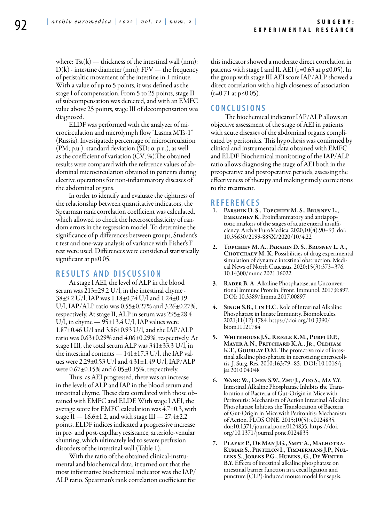where:  $Tst(k)$  — thickness of the intestinal wall (mm);  $D(k)$  - intestine diameter (mm);  $FPV$  — the frequency of peristaltic movement of the intestine in 1 minute. With a value of up to 5 points, it was defined as the stage I of compensation. From 5 to 25 points, stage II of subcompensation was detected, and with an EMFC value above 25 points, stage III of decompensation was diagnosed.

ELDF was performed with the analyzer of microcirculation and microlymph flow "Lasma MTs-1" (Russia). Investigated: percentage of microcirculation (PM; p.u.); standard deviation (SD; ơ, p.u.), as well as the coefficient of variation (CV; %).The obtained results were compared with the reference values of abdominal microcirculation obtained in patients during elective operations for non-inflammatory diseases of the abdominal organs.

In order to identify and evaluate the tightness of the relationship between quantitative indicators, the Spearman rank correlation coefficient was calculated, which allowed to check the heteroscedasticity of random errors in the regression model. To determine the significance of p differences between groups, Student's t test and one-way analysis of variance with Fisher's F test were used. Differences were considered statistically significant at p≤0.05.

# **R e s ult s a n d discu s si o n**

At stage I AEI, the level of ALP in the blood serum was 213±29.2 U/l, in the intestinal chyme - 38±9.2 U/l; IAP was 1.18±0.74 U/l and 1.24±0.19 U/l, IAP/ALP ratio was 0.55±0.27% and 3.26±0.27%, respectively. At stage II, ALP in serum was 295±28.4 U/l, in chyme  $-95\pm13.4$  U/l, IAP values were 1.87±0.46 U/l and 3.86±0.93 U/l, and the IAP/ALP ratio was  $0.63\pm0.29\%$  and  $4.06\pm0.29\%$ , respectively. At stage I III, the total serum ALP was 341±33.3 U/l, in the intestinal contents  $-141\pm17.3$  U/l, the IAP values were  $2.29\pm0.53$  U/l and  $4.31\pm1.49$  U/l, IAP/ALP were 0.67±0.15% and 6.05±0.15%, respectively.

Thus, as AEI progressed, there was an increase in the levels of ALP and IAP in the blood serum and intestinal chyme. These data correlated with those obtained with EMFC and ELDF. With stage I AEI, the average score for EMFC calculation was 4.7±0.3, with stage II —  $16.6 \pm 1.2$ , and with stage III —  $27.4 \pm 2.2$ points. ELDF indices indicated a progressive increase in pre- and post-capillary resistance, arteriolo-venular shunting, which ultimately led to severe perfusion disorders of the intestinal wall (Table 1).

With the ratio of the obtained clinical-instrumental and biochemical data, it turned out that the most informative biochemical indicator was the IAP/ ALP ratio. Spearman's rank correlation coefficient for this indicator showed a moderate direct correlation in patients with stage I and II. AEI ( $r=0.63$  at  $p \le 0.05$ ). In the group with stage III AEI score IAP/ALP showed a direct correlation with a high closeness of association  $(r=0.71 \text{ at } p \leq 0.05)$ .

# **C o n clu si o n s**

 The biochemical indicator IAP/ALP allows an objective assessment of the stage of AEI in patients with acute diseases of the abdominal organs complicated by peritonitis. This hypothesis was confirmed by clinical and instrumental data obtained with EMFC and ELDF. Biochemical monitoring of the IAP/ALP ratio allows diagnosing the stage of AEI both in the preoperative and postoperative periods, assessing the effectiveness of therapy and making timely corrections to the treatment.

# **R efe r e n ce s**

- PARSHIN D. S., TOPCHIEV M. S., BRUSNEV L., Emkuzhev K. Proinflammatory and antiapoptotic markers of the stages of acute enteral insufficiency. Archiv EuroMedica. 2020;10(4):90–93. doi: 10.35630/2199-885X/2020/10/4.22
- 2. Topchiev M. A., Parshin D. S., Brusnev L. A., CHOTCHAEV M. K. Possibilities of drug experimental simulation of dynamic intestinal obstruction. Medical News of North Caucasus. 2020;15(3):373–376. 10.14300/mnnc.2021.16022
- 3. RADER B. A. Alkaline Phosphatase, an Unconventional Immune Protein. Front. Immunol. 2017;8:897. DOI: 10.3389/fimmu.2017.00897
- 4. Singh S.B., Lin H.C. Role of Intestinal Alkaline Phosphatase in Innate Immunity. Biomolecules. 2021;11(12):1784. https://doi.org/10.3390/ biom11121784
- 5. Whitehouse J.S., Riggle K.M., Purpi D.P., Mayer A.N., Pritchard K.A., Jr., Oldham K.T., GOURLAY D.M. The protective role of intestinal alkaline phosphatase in necrotizing enterocoli- tis. J. Surg. Res. 2010;163:79–85. DOI: 10.1016/j. jss.2010.04.048
- 6. Wang W., Chen S.W., Zhu J., Zuo S., Ma Y.Y. Intestinal Alkaline Phosphatase Inhibits the Trans- location of Bacteria of Gut-Origin in Mice with Peritonitis: Mechanism of Action Intestinal Alkaline Phosphatase Inhibits the Translocation of Bacteria of Gut-Origin in Mice with Peritonitis: Mechanism of Action. PLOS ONE. 2015;10(5): e0124835. doi:10.1371/journal.pone.0124835. https://doi. org/10.1371/journal.pone.0124835
- 7. Plaeke P., De Man J.G., Smet A., Malhotra-Kumar S., Pintelon I., Timmermans J.P., Nul- lens S., Jorens P.G., Hubens, G., De Winter B.Y. Effects of intestinal alkaline phosphatase on intestinal barrier function in a cecal ligation and puncture (CLP)-induced mouse model for sepsis.